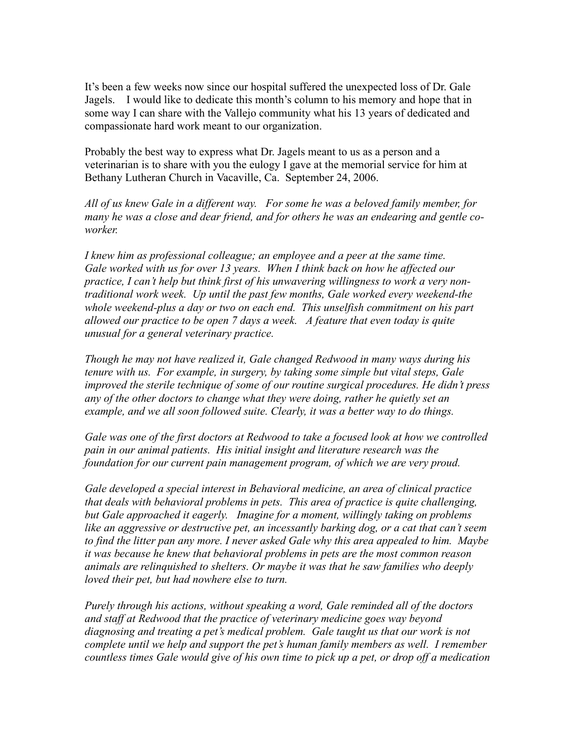It's been a few weeks now since our hospital suffered the unexpected loss of Dr. Gale Jagels. I would like to dedicate this month's column to his memory and hope that in some way I can share with the Vallejo community what his 13 years of dedicated and compassionate hard work meant to our organization.

Probably the best way to express what Dr. Jagels meant to us as a person and a veterinarian is to share with you the eulogy I gave at the memorial service for him at Bethany Lutheran Church in Vacaville, Ca. September 24, 2006.

*All of us knew Gale in a different way. For some he was a beloved family member, for many he was a close and dear friend, and for others he was an endearing and gentle coworker.*

*I* knew him as professional colleague; an employee and a peer at the same time. *Gale worked with us for over 13 years. When I think back on how he affected our practice, I can't help but think first of his unwavering willingness to work a very nontraditional work week. Up until the past few months, Gale worked every weekend-the whole weekend-plus a day or two on each end. This unselfish commitment on his part allowed our practice to be open 7 days a week. A feature that even today is quite unusual for a general veterinary practice.* 

*Though he may not have realized it, Gale changed Redwood in many ways during his tenure with us. For example, in surgery, by taking some simple but vital steps, Gale improved the sterile technique of some of our routine surgical procedures. He didn't press any of the other doctors to change what they were doing, rather he quietly set an example, and we all soon followed suite. Clearly, it was a better way to do things.* 

*Gale was one of the first doctors at Redwood to take a focused look at how we controlled pain in our animal patients. His initial insight and literature research was the foundation for our current pain management program, of which we are very proud.*

*Gale developed a special interest in Behavioral medicine, an area of clinical practice that deals with behavioral problems in pets. This area of practice is quite challenging, but Gale approached it eagerly. Imagine for a moment, willingly taking on problems like an aggressive or destructive pet, an incessantly barking dog, or a cat that can't seem to find the litter pan any more. I never asked Gale why this area appealed to him. Maybe it was because he knew that behavioral problems in pets are the most common reason animals are relinquished to shelters. Or maybe it was that he saw families who deeply loved their pet, but had nowhere else to turn.*

*Purely through his actions, without speaking a word, Gale reminded all of the doctors and staff at Redwood that the practice of veterinary medicine goes way beyond diagnosing and treating a pet's medical problem. Gale taught us that our work is not complete until we help and support the pet's human family members as well. I remember countless times Gale would give of his own time to pick up a pet, or drop off a medication*